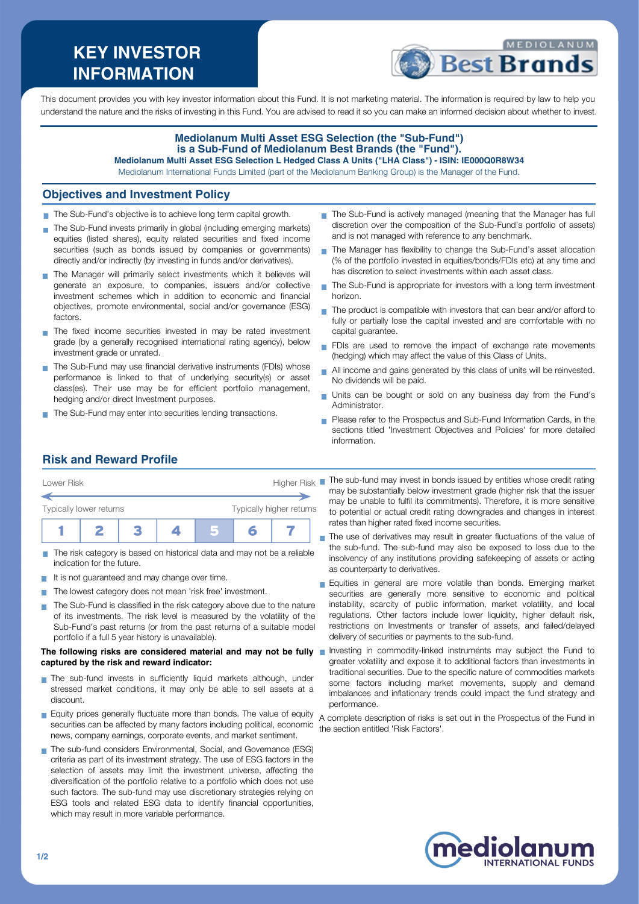# **KEY INVESTOR INFORMATION**



This document provides you with key investor information about this Fund. It is not marketing material. The information is required by law to help you understand the nature and the risks of investing in this Fund. You are advised to read it so you can make an informed decision about whether to invest.

#### **Mediolanum Multi Asset ESG Selection (the "Sub-Fund") is a Sub-Fund of Mediolanum Best Brands (the "Fund"). Mediolanum Multi Asset ESG Selection L Hedged Class A Units ("LHA Class") - ISIN: IE000Q0R8W34**

Mediolanum International Funds Limited (part of the Mediolanum Banking Group) is the Manager of the Fund.

### **Objectives and Investment Policy**

- The Sub-Fund's objective is to achieve long term capital growth.
- The Sub-Fund invests primarily in global (including emerging markets) equities (listed shares), equity related securities and fixed income securities (such as bonds issued by companies or governments) directly and/or indirectly (by investing in funds and/or derivatives).
- The Manager will primarily select investments which it believes will generate an exposure, to companies, issuers and/or collective investment schemes which in addition to economic and financial objectives, promote environmental, social and/or governance (ESG) factors.
- The fixed income securities invested in may be rated investment grade (by a generally recognised international rating agency), below investment grade or unrated.
- The Sub-Fund may use financial derivative instruments (FDIs) whose performance is linked to that of underlying security(s) or asset class(es). Their use may be for efficient portfolio management, hedging and/or direct Investment purposes.
- The Sub-Fund may enter into securities lending transactions.
- The Sub-Fund is actively managed (meaning that the Manager has full discretion over the composition of the Sub-Fund's portfolio of assets) and is not managed with reference to any benchmark.
- The Manager has flexibility to change the Sub-Fund's asset allocation  $\mathbf{r}$ (% of the portfolio invested in equities/bonds/FDIs etc) at any time and has discretion to select investments within each asset class
- ÷. The Sub-Fund is appropriate for investors with a long term investment horizon.
- The product is compatible with investors that can bear and/or afford to  $\overline{\phantom{a}}$ fully or partially lose the capital invested and are comfortable with no capital guarantee.
- FDIs are used to remove the impact of exchange rate movements (hedging) which may affect the value of this Class of Units.
- All income and gains generated by this class of units will be reinvested.  $\overline{\phantom{a}}$ No dividends will be paid.
- Units can be bought or sold on any business day from the Fund's Administrator.
- **Please refer to the Prospectus and Sub-Fund Information Cards, in the** sections titled 'Investment Objectives and Policies' for more detailed information.

## **Risk and Reward Profile**

| Lower Risk                                          |  |  | <b>Higher Risk</b> |  |  |  |  |
|-----------------------------------------------------|--|--|--------------------|--|--|--|--|
| Typically higher returns<br>Typically lower returns |  |  |                    |  |  |  |  |
|                                                     |  |  |                    |  |  |  |  |

- The risk category is based on historical data and may not be a reliable indication for the future.
- It is not guaranteed and may change over time.  $\mathcal{L}_{\mathcal{A}}$
- The lowest category does not mean 'risk free' investment. **COL**
- The Sub-Fund is classified in the risk category above due to the nature  $\sim$ of its investments. The risk level is measured by the volatility of the Sub-Fund's past returns (or from the past returns of a suitable model portfolio if a full 5 year history is unavailable).

#### **The following risks are considered material and may not be fully captured by the risk and reward indicator:**

- The sub-fund invests in sufficiently liquid markets although, under stressed market conditions, it may only be able to sell assets at a discount.
- Equity prices generally fluctuate more than bonds. The value of equity securities can be affected by many factors including political, economic news, company earnings, corporate events, and market sentiment.
- The sub-fund considers Environmental, Social, and Governance (ESG) criteria as part of its investment strategy. The use of ESG factors in the selection of assets may limit the investment universe, affecting the diversification of the portfolio relative to a portfolio which does not use such factors. The sub-fund may use discretionary strategies relying on ESG tools and related ESG data to identify financial opportunities, which may result in more variable performance.
- The sub-fund may invest in bonds issued by entities whose credit rating may be substantially below investment grade (higher risk that the issuer may be unable to fulfil its commitments). Therefore, it is more sensitive to potential or actual credit rating downgrades and changes in interest rates than higher rated fixed income securities.
- The use of derivatives may result in greater fluctuations of the value of the sub-fund. The sub-fund may also be exposed to loss due to the insolvency of any institutions providing safekeeping of assets or acting as counterparty to derivatives.
- Equities in general are more volatile than bonds. Emerging market securities are generally more sensitive to economic and political instability, scarcity of public information, market volatility, and local regulations. Other factors include lower liquidity, higher default risk, restrictions on Investments or transfer of assets, and failed/delayed delivery of securities or payments to the sub-fund.
- Investing in commodity-linked instruments may subject the Fund to greater volatility and expose it to additional factors than investments in traditional securities. Due to the specific nature of commodities markets some factors including market movements, supply and demand imbalances and inflationary trends could impact the fund strategy and performance.

A complete description of risks is set out in the Prospectus of the Fund in the section entitled 'Risk Factors'.